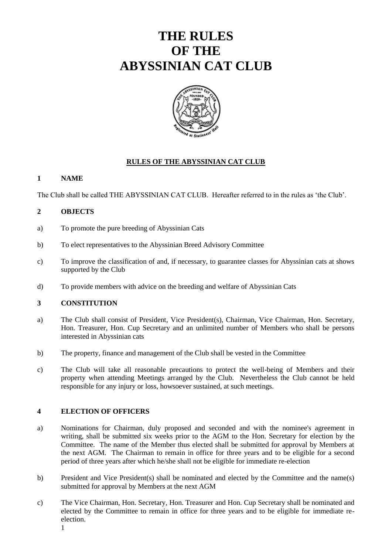# **THE RULES OF THE ABYSSINIAN CAT CLUB**



# **RULES OF THE ABYSSINIAN CAT CLUB**

## **1 NAME**

The Club shall be called THE ABYSSINIAN CAT CLUB. Hereafter referred to in the rules as 'the Club'.

## **2 OBJECTS**

- a) To promote the pure breeding of Abyssinian Cats
- b) To elect representatives to the Abyssinian Breed Advisory Committee
- c) To improve the classification of and, if necessary, to guarantee classes for Abyssinian cats at shows supported by the Club
- d) To provide members with advice on the breeding and welfare of Abyssinian Cats

#### **3 CONSTITUTION**

- a) The Club shall consist of President, Vice President(s), Chairman, Vice Chairman, Hon. Secretary, Hon. Treasurer, Hon. Cup Secretary and an unlimited number of Members who shall be persons interested in Abyssinian cats
- b) The property, finance and management of the Club shall be vested in the Committee
- c) The Club will take all reasonable precautions to protect the well-being of Members and their property when attending Meetings arranged by the Club. Nevertheless the Club cannot be held responsible for any injury or loss, howsoever sustained, at such meetings.

#### **4 ELECTION OF OFFICERS**

- a) Nominations for Chairman, duly proposed and seconded and with the nominee's agreement in writing, shall be submitted six weeks prior to the AGM to the Hon. Secretary for election by the Committee. The name of the Member thus elected shall be submitted for approval by Members at the next AGM. The Chairman to remain in office for three years and to be eligible for a second period of three years after which he/she shall not be eligible for immediate re-election
- b) President and Vice President(s) shall be nominated and elected by the Committee and the name(s) submitted for approval by Members at the next AGM
- c) The Vice Chairman, Hon. Secretary, Hon. Treasurer and Hon. Cup Secretary shall be nominated and elected by the Committee to remain in office for three years and to be eligible for immediate reelection. 1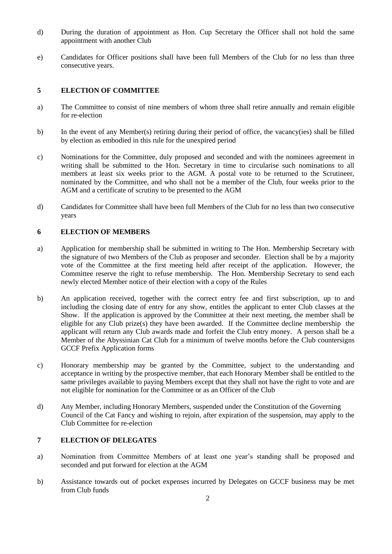- d) During the duration of appointment as Hon. Cup Secretary the Officer shall not hold the same appointment with another Club
- e) Candidates for Officer positions shall have been full Members of the Club for no less than three consecutive years.

# **5 ELECTION OF COMMITTEE**

- a) The Committee to consist of nine members of whom three shall retire annually and remain eligible for re-election
- b) In the event of any Member(s) retiring during their period of office, the vacancy(ies) shall be filled by election as embodied in this rule for the unexpired period
- c) Nominations for the Committee, duly proposed and seconded and with the nominees agreement in writing shall be submitted to the Hon. Secretary in time to circularise such nominations to all members at least six weeks prior to the AGM. A postal vote to be returned to the Scrutineer, nominated by the Committee, and who shall not be a member of the Club, four weeks prior to the AGM and a certificate of scrutiny to be presented to the AGM
- d) Candidates for Committee shall have been full Members of the Club for no less than two consecutive years

#### **6 ELECTION OF MEMBERS**

- a) Application for membership shall be submitted in writing to The Hon. Membership Secretary with the signature of two Members of the Club as proposer and seconder. Election shall be by a majority vote of the Committee at the first meeting held after receipt of the application. However, the Committee reserve the right to refuse membership. The Hon. Membership Secretary to send each newly elected Member notice of their election with a copy of the Rules
- b) An application received, together with the correct entry fee and first subscription, up to and including the closing date of entry for any show, entitles the applicant to enter Club classes at the Show. If the application is approved by the Committee at their next meeting, the member shall be eligible for any Club prize(s) they have been awarded. If the Committee decline membership the applicant will return any Club awards made and forfeit the Club entry money. A person shall be a Member of the Abyssinian Cat Club for a minimum of twelve months before the Club countersigns GCCF Prefix Application forms
- c) Honorary membership may be granted by the Committee, subject to the understanding and acceptance in writing by the prospective member, that each Honorary Member shall be entitled to the same privileges available to paying Members except that they shall not have the right to vote and are not eligible for nomination for the Committee or as an Officer of the Club
- d) Any Member, including Honorary Members, suspended under the Constitution of the Governing Council of the Cat Fancy and wishing to rejoin, after expiration of the suspension, may apply to the Club Committee for re-election

## **7 ELECTION OF DELEGATES**

- a) Nomination from Committee Members of at least one year's standing shall be proposed and seconded and put forward for election at the AGM
- b) Assistance towards out of pocket expenses incurred by Delegates on GCCF business may be met from Club funds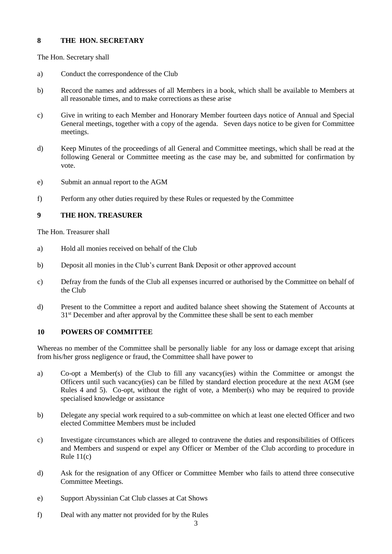## **8 THE HON. SECRETARY**

The Hon. Secretary shall

- a) Conduct the correspondence of the Club
- b) Record the names and addresses of all Members in a book, which shall be available to Members at all reasonable times, and to make corrections as these arise
- c) Give in writing to each Member and Honorary Member fourteen days notice of Annual and Special General meetings, together with a copy of the agenda. Seven days notice to be given for Committee meetings.
- d) Keep Minutes of the proceedings of all General and Committee meetings, which shall be read at the following General or Committee meeting as the case may be, and submitted for confirmation by vote.
- e) Submit an annual report to the AGM
- f) Perform any other duties required by these Rules or requested by the Committee

# **9 THE HON. TREASURER**

The Hon. Treasurer shall

- a) Hold all monies received on behalf of the Club
- b) Deposit all monies in the Club's current Bank Deposit or other approved account
- c) Defray from the funds of the Club all expenses incurred or authorised by the Committee on behalf of the Club
- d) Present to the Committee a report and audited balance sheet showing the Statement of Accounts at 31st December and after approval by the Committee these shall be sent to each member

# **10 POWERS OF COMMITTEE**

Whereas no member of the Committee shall be personally liable for any loss or damage except that arising from his/her gross negligence or fraud, the Committee shall have power to

- a) Co-opt a Member(s) of the Club to fill any vacancy(ies) within the Committee or amongst the Officers until such vacancy(ies) can be filled by standard election procedure at the next AGM (see Rules 4 and 5). Co-opt, without the right of vote, a Member(s) who may be required to provide specialised knowledge or assistance
- b) Delegate any special work required to a sub-committee on which at least one elected Officer and two elected Committee Members must be included
- c) Investigate circumstances which are alleged to contravene the duties and responsibilities of Officers and Members and suspend or expel any Officer or Member of the Club according to procedure in Rule 11(c)
- d) Ask for the resignation of any Officer or Committee Member who fails to attend three consecutive Committee Meetings.
- e) Support Abyssinian Cat Club classes at Cat Shows
- f) Deal with any matter not provided for by the Rules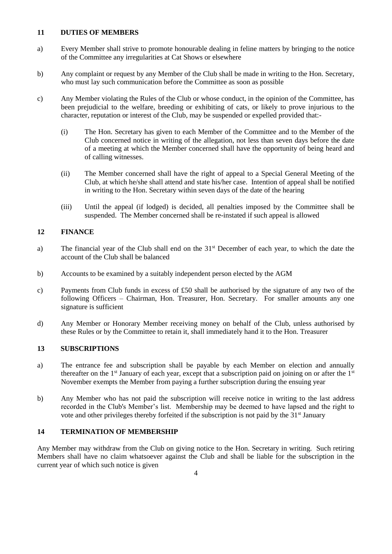#### **11 DUTIES OF MEMBERS**

- a) Every Member shall strive to promote honourable dealing in feline matters by bringing to the notice of the Committee any irregularities at Cat Shows or elsewhere
- b) Any complaint or request by any Member of the Club shall be made in writing to the Hon. Secretary, who must lay such communication before the Committee as soon as possible
- c) Any Member violating the Rules of the Club or whose conduct, in the opinion of the Committee, has been prejudicial to the welfare, breeding or exhibiting of cats, or likely to prove injurious to the character, reputation or interest of the Club, may be suspended or expelled provided that:-
	- (i) The Hon. Secretary has given to each Member of the Committee and to the Member of the Club concerned notice in writing of the allegation, not less than seven days before the date of a meeting at which the Member concerned shall have the opportunity of being heard and of calling witnesses.
	- (ii) The Member concerned shall have the right of appeal to a Special General Meeting of the Club, at which he/she shall attend and state his/her case. Intention of appeal shall be notified in writing to the Hon. Secretary within seven days of the date of the hearing
	- (iii) Until the appeal (if lodged) is decided, all penalties imposed by the Committee shall be suspended. The Member concerned shall be re-instated if such appeal is allowed

# **12 FINANCE**

- a) The financial year of the Club shall end on the 31<sup>st</sup> December of each year, to which the date the account of the Club shall be balanced
- b) Accounts to be examined by a suitably independent person elected by the AGM
- c) Payments from Club funds in excess of £50 shall be authorised by the signature of any two of the following Officers – Chairman, Hon. Treasurer, Hon. Secretary. For smaller amounts any one signature is sufficient
- d) Any Member or Honorary Member receiving money on behalf of the Club, unless authorised by these Rules or by the Committee to retain it, shall immediately hand it to the Hon. Treasurer

# **13 SUBSCRIPTIONS**

- a) The entrance fee and subscription shall be payable by each Member on election and annually thereafter on the  $1<sup>st</sup>$  January of each year, except that a subscription paid on joining on or after the  $1<sup>st</sup>$ November exempts the Member from paying a further subscription during the ensuing year
- b) Any Member who has not paid the subscription will receive notice in writing to the last address recorded in the Club's Member's list. Membership may be deemed to have lapsed and the right to vote and other privileges thereby forfeited if the subscription is not paid by the  $31<sup>st</sup>$  January

# **14 TERMINATION OF MEMBERSHIP**

Any Member may withdraw from the Club on giving notice to the Hon. Secretary in writing. Such retiring Members shall have no claim whatsoever against the Club and shall be liable for the subscription in the current year of which such notice is given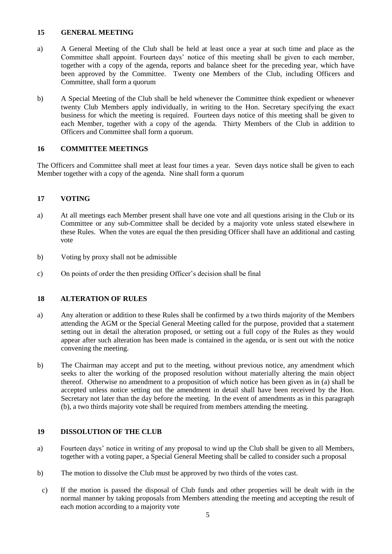## **15 GENERAL MEETING**

- a) A General Meeting of the Club shall be held at least once a year at such time and place as the Committee shall appoint. Fourteen days' notice of this meeting shall be given to each member, together with a copy of the agenda, reports and balance sheet for the preceding year, which have been approved by the Committee. Twenty one Members of the Club, including Officers and Committee, shall form a quorum
- b) A Special Meeting of the Club shall be held whenever the Committee think expedient or whenever twenty Club Members apply individually, in writing to the Hon. Secretary specifying the exact business for which the meeting is required. Fourteen days notice of this meeting shall be given to each Member, together with a copy of the agenda. Thirty Members of the Club in addition to Officers and Committee shall form a quorum.

# **16 COMMITTEE MEETINGS**

The Officers and Committee shall meet at least four times a year. Seven days notice shall be given to each Member together with a copy of the agenda. Nine shall form a quorum

## **17 VOTING**

- a) At all meetings each Member present shall have one vote and all questions arising in the Club or its Committee or any sub-Committee shall be decided by a majority vote unless stated elsewhere in these Rules. When the votes are equal the then presiding Officer shall have an additional and casting vote
- b) Voting by proxy shall not be admissible
- c) On points of order the then presiding Officer's decision shall be final

# **18 ALTERATION OF RULES**

- a) Any alteration or addition to these Rules shall be confirmed by a two thirds majority of the Members attending the AGM or the Special General Meeting called for the purpose, provided that a statement setting out in detail the alteration proposed, or setting out a full copy of the Rules as they would appear after such alteration has been made is contained in the agenda, or is sent out with the notice convening the meeting.
- b) The Chairman may accept and put to the meeting, without previous notice, any amendment which seeks to alter the working of the proposed resolution without materially altering the main object thereof. Otherwise no amendment to a proposition of which notice has been given as in (a) shall be accepted unless notice setting out the amendment in detail shall have been received by the Hon. Secretary not later than the day before the meeting. In the event of amendments as in this paragraph (b), a two thirds majority vote shall be required from members attending the meeting.

#### **19 DISSOLUTION OF THE CLUB**

- a) Fourteen days' notice in writing of any proposal to wind up the Club shall be given to all Members, together with a voting paper, a Special General Meeting shall be called to consider such a proposal
- b) The motion to dissolve the Club must be approved by two thirds of the votes cast.
- c) If the motion is passed the disposal of Club funds and other properties will be dealt with in the normal manner by taking proposals from Members attending the meeting and accepting the result of each motion according to a majority vote